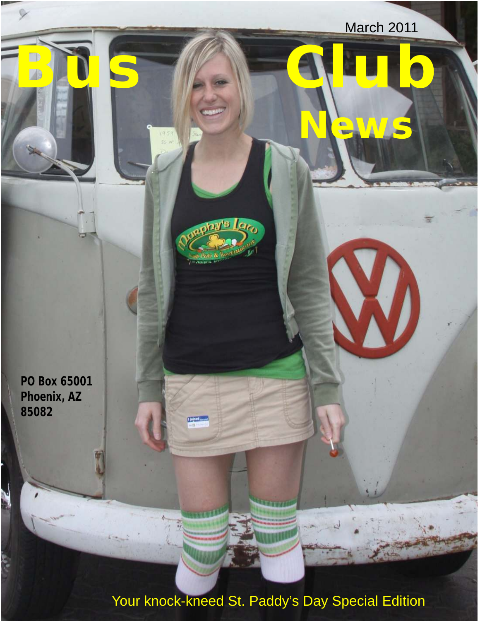March 2011 **Bus CALD News B** Laco **PO Box 65001 Phoenix, AZ 85082**  $1$  joined  $\_\_$ Ν è

Your knock-kneed St. Paddy's Day Special Edition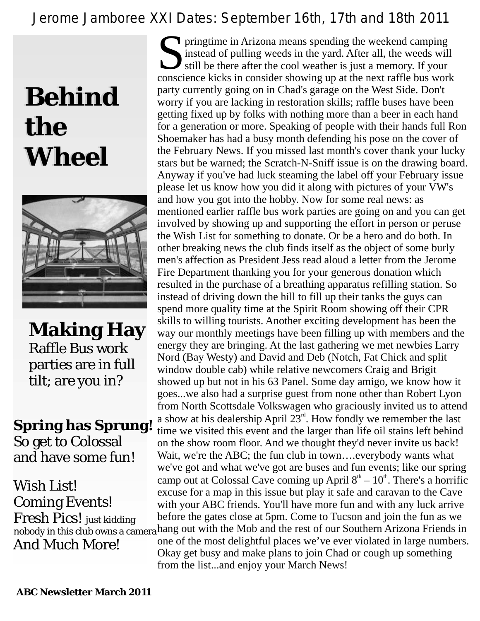## *Jerome Jamboree XXI Dates: September 16th, 17th and 18th 2011*

## **Behind the Wheel**



**Making Hay** Raffle Bus work parties are in full tilt; are you in?

**Spring has Sprung!** So get to Colossal and have some fun!

Wish List! Coming Events! Fresh Pics! just kidding And Much More!

pringtime in Arizona means spending the weekend camping instead of pulling weeds in the yard. After all, the weeds will still be there after the cool weather is just a memory. If your conscience kicks in consider showing u still be there after the cool weather is just a memory. If your conscience kicks in consider showing up at the next raffle bus work party currently going on in Chad's garage on the West Side. Don't worry if you are lacking in restoration skills; raffle buses have been getting fixed up by folks with nothing more than a beer in each hand for a generation or more. Speaking of people with their hands full Ron Shoemaker has had a busy month defending his pose on the cover of the February News. If you missed last month's cover thank your lucky stars but be warned; the Scratch-N-Sniff issue is on the drawing board. Anyway if you've had luck steaming the label off your February issue please let us know how you did it along with pictures of your VW's and how you got into the hobby. Now for some real news: as mentioned earlier raffle bus work parties are going on and you can get involved by showing up and supporting the effort in person or peruse the Wish List for something to donate. Or be a hero and do both. In other breaking news the club finds itself as the object of some burly men's affection as President Jess read aloud a letter from the Jerome Fire Department thanking you for your generous donation which resulted in the purchase of a breathing apparatus refilling station. So instead of driving down the hill to fill up their tanks the guys can spend more quality time at the Spirit Room showing off their CPR skills to willing tourists. Another exciting development has been the way our monthly meetings have been filling up with members and the energy they are bringing. At the last gathering we met newbies Larry Nord (Bay Westy) and David and Deb (Notch, Fat Chick and split window double cab) while relative newcomers Craig and Brigit showed up but not in his 63 Panel. Some day amigo, we know how it goes...we also had a surprise guest from none other than Robert Lyon from North Scottsdale Volkswagen who graciously invited us to attend a show at his dealership April  $23<sup>rd</sup>$ . How fondly we remember the last time we visited this event and the larger than life oil stains left behind on the show room floor. And we thought they'd never invite us back! Wait, we're the ABC; the fun club in town….everybody wants what we've got and what we've got are buses and fun events; like our spring camp out at Colossal Cave coming up April  $8<sup>th</sup> - 10<sup>th</sup>$ . There's a horrific excuse for a map in this issue but play it safe and caravan to the Cave with your ABC friends. You'll have more fun and with any luck arrive before the gates close at 5pm. Come to Tucson and join the fun as we nobody in this club owns a camera hang out with the Mob and the rest of our Southern Arizona Friends in one of the most delightful places we've ever violated in large numbers. Okay get busy and make plans to join Chad or cough up something from the list...and enjoy your March News!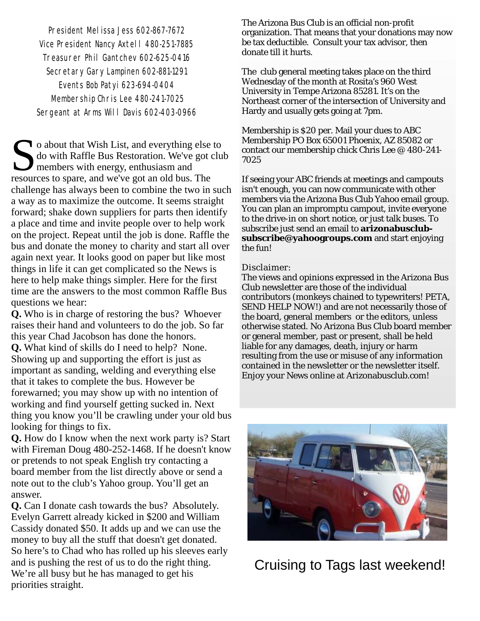President Melissa Jess 602-867-7672 Vice President Nancy Axtell 480-251-7885 Treasurer Phil Gantchev 602-625-0416 Secretary Gary Lampinen 602-881-1291 Events Bob Patyi 623-694-0404 Membership Chris Lee 480-241-7025 Sergeant at Arms Will Davis 602-403-0966

o about that Wish List, and everything else to do with Raffle Bus Restoration. We've got club members with energy, enthusiasm and resources to spare, and we've got an old bus. The challenge has always been to combine the two in such a way as to maximize the outcome. It seems straight forward; shake down suppliers for parts then identify a place and time and invite people over to help work on the project. Repeat until the job is done. Raffle the bus and donate the money to charity and start all over again next year. It looks good on paper but like most things in life it can get complicated so the News is here to help make things simpler. Here for the first time are the answers to the most common Raffle Bus questions we hear:

**Q.** Who is in charge of restoring the bus? Whoever raises their hand and volunteers to do the job. So far this year Chad Jacobson has done the honors. **Q.** What kind of skills do I need to help? None. Showing up and supporting the effort is just as important as sanding, welding and everything else that it takes to complete the bus. However be forewarned; you may show up with no intention of working and find yourself getting sucked in. Next thing you know you'll be crawling under your old bus looking for things to fix.

**Q.** How do I know when the next work party is? Start with Fireman Doug 480-252-1468. If he doesn't know or pretends to not speak English try contacting a board member from the list directly above or send a note out to the club's Yahoo group. You'll get an answer.

**Q.** Can I donate cash towards the bus? Absolutely. Evelyn Garrett already kicked in \$200 and William Cassidy donated \$50. It adds up and we can use the money to buy all the stuff that doesn't get donated. So here's to Chad who has rolled up his sleeves early and is pushing the rest of us to do the right thing. We're all busy but he has managed to get his priorities straight.

The Arizona Bus Club is an official non-profit organization. That means that your donations may now be tax deductible. Consult your tax advisor, then donate till it hurts.

The club general meeting takes place on the third Wednesday of the month at Rosita's 960 West University in Tempe Arizona 85281. It's on the Northeast corner of the intersection of University and Hardy and usually gets going at 7pm.

Membership is \$20 per. Mail your dues to ABC Membership PO Box 65001 Phoenix, AZ 85082 or contact our membership chick Chris Lee @ 480-241- 7025

If seeing your ABC friends at meetings and campouts isn't enough, you can now communicate with other members via the Arizona Bus Club Yahoo email group. You can plan an impromptu campout, invite everyone to the drive-in on short notice, or just talk buses. To subscribe just send an email to **arizonabusclubsubscribe@yahoogroups.com** and start enjoying the fun!

### Disclaimer:

The views and opinions expressed in the Arizona Bus Club newsletter are those of the individual contributors (monkeys chained to typewriters! PETA, SEND HELP NOW!) and are not necessarily those of the board, general members or the editors, unless otherwise stated. No Arizona Bus Club board member or general member, past or present, shall be held liable for any damages, death, injury or harm resulting from the use or misuse of any information contained in the newsletter or the newsletter itself. Enjoy your News online at Arizonabusclub.com!



Cruising to Tags last weekend!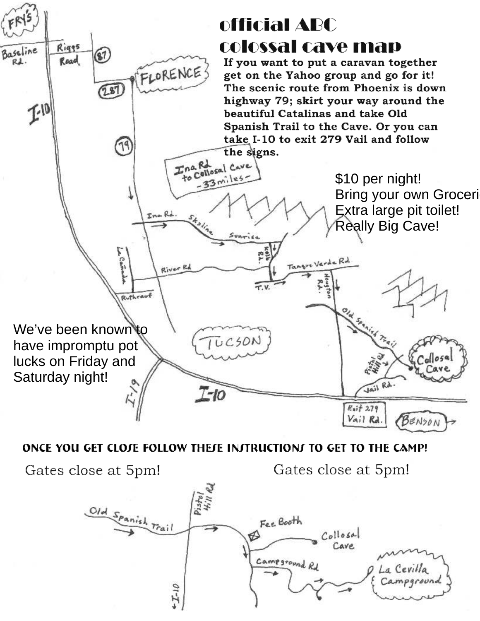

### ONCE YOU GET CLOJE FOLLOW THEJE INJTRUCTIONJ TO GET TO THE CAMP!

Gates close at 5pm!

Gates close at 5pm!

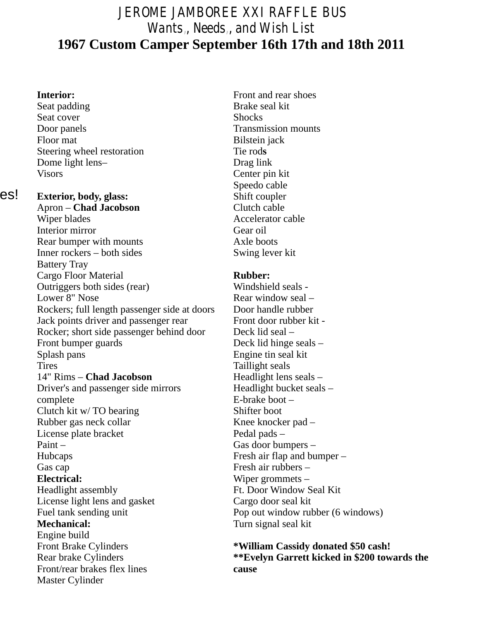## JEROME JAMBOREE XXI RAFFLE BUS Wants,, Needs,, and Wish List **1967 Custom Camper September 16th 17th and 18th 2011**

Seat padding Brake seal kit Seat cover Shocks Door panels Transmission mounts Floor mat Bilstein jack Steering wheel restoration Tie rods Dome light lens–<br>
Visors<br>
Center pir

es!

**Exterior, body, glass:** Shift coupler<br>
Apron – Chad Jacobson<br>
Clutch cable Apron – **Chad Jacobson**<br>Wiper blades Interior mirror Gear oil Rear bumper with mounts Axle boots Inner rockers – both sides Swing lever kit Battery Tray Cargo Floor Material **Rubber:**<br> **Rubber: Cutriogers both sides (rear)** Windshield seals -Outriggers both sides (rear)<br>Lower 8" Nose Rockers; full length passenger side at doors Door handle rubber Jack points driver and passenger rear Front door rubber kit -Rocker; short side passenger behind door Deck lid seal – Front bumper guards Deck lid hinge seals – Splash pans Engine tin seal kit Tires<br>
14" Rims – **Chad Jacobson**<br>
14" Rims – **Chad Jacobson**<br>
14" Rims – **Chad Jacobson** 14" Rims – **Chad Jacobson** Driver's and passenger side mirrors Headlight bucket seals – complete E-brake boot – Clutch kit w/TO bearing Shifter boot Rubber gas neck collar Knee knocker pad – License plate bracket Pedal pads – Paint – Gas door bumpers – Hubcaps Fresh air flap and bumper – Gas cap Fresh air rubbers – **Electrical:** Wiper grommets –<br>
Headlight assembly **EXECUTE:** Ft. Door Window S License light lens and gasket Cargo door seal kit Fuel tank sending unit<br> **Pop out window rubber (6 windows)**<br> **Mechanical:**<br>
Turn signal seal kit Engine build<br>Front Brake Cylinders Front/rear brakes flex lines **cause**

Master Cylinder

**Interior:** Front and rear shoes Center pin kit Speedo cable Accelerator cable

Rear window seal – Ft. Door Window Seal Kit Turn signal seal kit

Front Brake Cylinders **\*William Cassidy donated \$50 cash!**  Rear brake Cylinders **\*\*Evelyn Garrett kicked in \$200 towards the**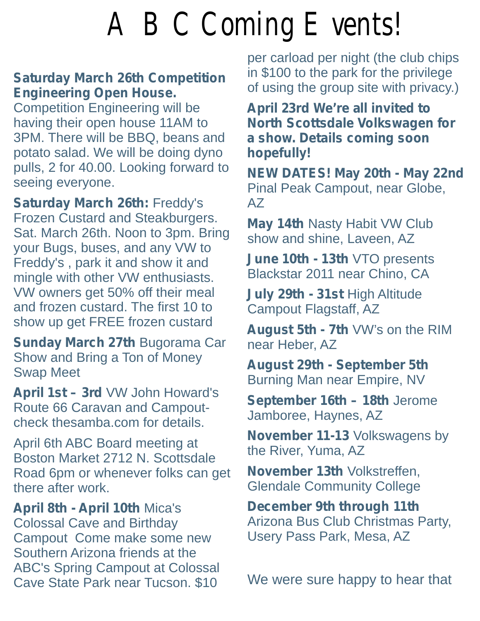## A BC Coming Events!

### **Saturday March 26th Competition Engineering Open House.** The original politicity of using the group site with privacy.)

Competition Engineering will be **April 23rd We're all invited to** having their open house 11AM to **North Scottsdale Volkswagen for** ataure 25 app. There will be BBQ, beans and **a show. Details coming soon** potato salad. We will be doing dyno **hopefully!** pulls, 2 for 40.00. Looking forward to<br>seeing everyone. Pinal Peak Campout, near Globe,

Frozen Custard and Steakburgers.<br>Sat. March 26th. Noon to 3pm. Bring show and shine, Laveen, AZ your Bugs, buses, and any VW to your Bugs, buses, and any VW to<br>Freddy's , park it and show it and **June 10th - 13th** VTO presents<br>mingle with other VW enthusiasts<br>Blackstar 2011 near Chino, CA mingle with other VW enthusiasts. VW owners get 50% off their meal **July 29th - 31st** High Altitude and frozen custard. The first 10 to Campout Flagstaff, AZ<br>show up get FREE frozen custard

**Sunday March 27th Bugorama Car near Heber, AZ** Show and Bring a Ton of Money<br>
Swap Meet<br> **August 29th - September 5th**<br>
Burning Man near Empire, NV<br> **April 1st – 3rd** VW John Howard's<br> **Contember 46th 194th Lerem** 

**April 1st – 3rd** VW John Howard's **September 16th – 18th** Jerome Route 66 Caravan and Campout- **September 16th – 18th** Jerome Route 66 Caravan and Campout- Jamboree, Haynes, AZ

check thesamba.com for details.<br>April 6th ABC Board meeting at<br>Boston Market 2712 N. Scottsdale<br>Neveral and AL Method Market 2712 N. Scottsdale Road 6pm or whenever folks can get **November 13th** Volkstreffen, there after work.<br>
Glendale Community College

**April 8th - April 10th Mica's Becember 9th through 11th** Colossal Cave and Birthday Arizona Bus Club Christmas Party,<br>Campout Come make some new Usery Pass Park, Mesa, AZ Campout Come make some new Southern Arizona friends at the ABC's Spring Campout at Colossal Cave State Park near Tucson. \$10 We were sure happy to hear that

per carload per night (the club chips in \$100 to the park for the privilege

Seeing everyone.<br> **Saturday March 26th:** Freddy's AZ<br>
AZ AZ

August 5th - 7th VW's on the RIM

**Glendale Community College**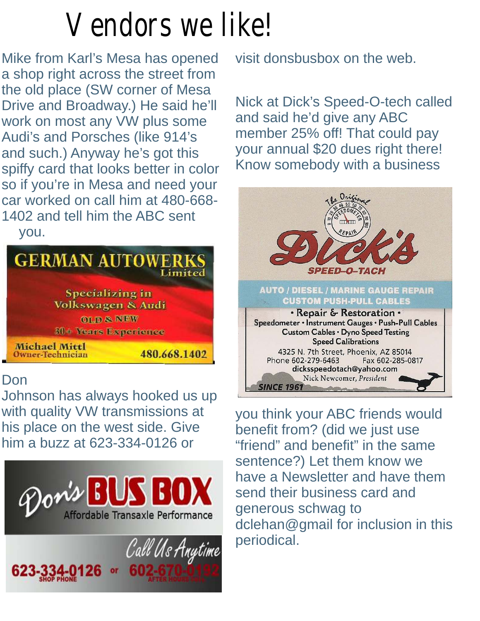## Vendors we like!

Mike from Karl's Mesa has opened visit donsbusbox on the web. a shop right across the street from the old place (SW corner of Mesa.) Drive and Broadway.) He said he'll Nick at Dick's Speed-O-tech called<br>work on most any VW plus some and said he'd give any ABC work on most any VW plus some<br>Audi's and Porsches (like 914's and such.) Anyway he's got this will be donnual \$20 dues right there!<br>spiffy card that looks better in color. Know somebody with a business spiffy card that looks better in color so if you're in Mesa and need your car worked on call him at 480-668-1402 and tell him the ABC sent you.

you.



## Don

Johnson has always hooked us up<br>with quality VW transmissions at with quality VW transmissions at you think your ABC friends would<br>his place on the west side. Give benefit from? (did we just use bim a buzz at 623-334-0126 or him a buzz at 623-334-0126 or "friend" and benefit" in the same





member 25% off! That could pay<br>your annual \$20 dues right there!



sentence?) Let them know we have a Newsletter and have them send their business card and dclehan@gmail for inclusion in this